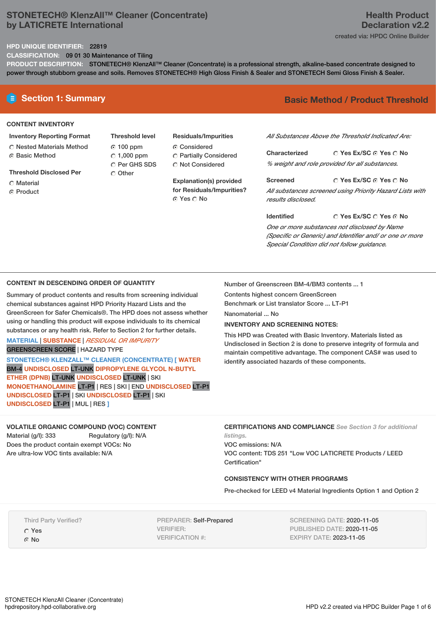## **STONETECH® KlenzAll™ Cleaner (Concentrate) by LATICRETE International**

## **HPD UNIQUE IDENTIFIER:** 22819

**CLASSIFICATION:** 09 01 30 Maintenance of Tiling

**PRODUCT DESCRIPTION:** STONETECH® KlenzAll™ Cleaner (Concentrate) is a professional strength, alkaline-based concentrate designed to power through stubborn grease and soils. Removes STONETECH® High Gloss Finish & Sealer and STONETECH Semi Gloss Finish & Sealer.

### **CONTENT INVENTORY**

- **Inventory Reporting Format** Nested Materials Method
- **G** Basic Method
- **Threshold Disclosed Per**
- C Material
- **C** Product
- **Threshold level** 100 ppm  $C$  1,000 ppm C Per GHS SDS O Other
- **Residuals/Impurities** Considered Partially Considered
- C Not Considered

**for Residuals/Impurities?** © Yes ∩ No

# **E** Section 1: Summary **Basic** Method / Product Threshold

*All Substances Above the Threshold Indicated Are:*

**Yes Ex/SC Yes No Characterized** *% weight and role provided for all substances.*

**Yes Ex/SC Yes No Screened** *All substances screened using Priority Hazard Lists with results disclosed.*

**Yes Ex/SC Yes No Identified** *One or more substances not disclosed by Name (Specific or Generic) and Identifier and/ or one or more Special Condition did not follow guidance.*

## **CONTENT IN DESCENDING ORDER OF QUANTITY**

Summary of product contents and results from screening individual chemical substances against HPD Priority Hazard Lists and the GreenScreen for Safer Chemicals®. The HPD does not assess whether using or handling this product will expose individuals to its chemical substances or any health risk. Refer to Section 2 for further details.

## **MATERIAL** | **SUBSTANCE** | *RESIDUAL OR IMPURITY* GREENSCREEN SCORE | HAZARD TYPE

**STONETECH® KLENZALL™ CLEANER (CONCENTRATE) [ WATER** BM-4 **UNDISCLOSED** LT-UNK **DIPROPYLENE GLYCOL N-BUTYL ETHER (DPNB)** LT-UNK **UNDISCLOSED** LT-UNK | SKI **MONOETHANOLAMINE** LT-P1 | RES | SKI | END **UNDISCLOSED** LT-P1 **UNDISCLOSED** LT-P1 | SKI **UNDISCLOSED** LT-P1 | SKI **UNDISCLOSED** LT-P1 | MUL | RES **]**

**VOLATILE ORGANIC COMPOUND (VOC) CONTENT** Material (g/l): 333 Regulatory (g/l): N/A Does the product contain exempt VOCs: No

**CERTIFICATIONS AND COMPLIANCE** *See Section 3 for additional*

*listings.* VOC emissions: N/A VOC content: TDS 251 "Low VOC LATICRETE Products / LEED Certification"

## **CONSISTENCY WITH OTHER PROGRAMS**

Pre-checked for LEED v4 Material Ingredients Option 1 and Option 2

Third Party Verified?

Are ultra-low VOC tints available: N/A

Yes G No

PREPARER: Self-Prepared VERIFIER: VERIFICATION #:

SCREENING DATE: 2020-11-05 PUBLISHED DATE: 2020-11-05 EXPIRY DATE: 2023-11-05

### HPD v2.2 created via HPDC Builder Page 1 of 6

## Number of Greenscreen BM-4/BM3 contents ... 1

Contents highest concern GreenScreen Benchmark or List translator Score ... LT-P1

Nanomaterial ... No

### **INVENTORY AND SCREENING NOTES:**

This HPD was Created with Basic Inventory. Materials listed as Undisclosed in Section 2 is done to preserve integrity of formula and maintain competitive advantage. The component CAS# was used to identify associated hazards of these components.

**Explanation(s) provided**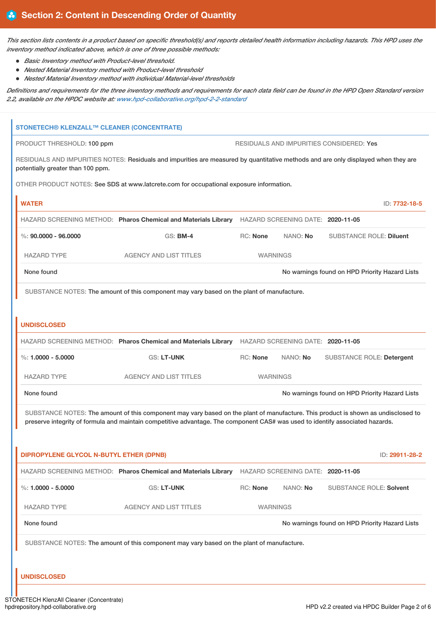This section lists contents in a product based on specific threshold(s) and reports detailed health information including hazards. This HPD uses the *inventory method indicated above, which is one of three possible methods:*

- *Basic Inventory method with Product-level threshold.*
- *Nested Material Inventory method with Product-level threshold*
- *Nested Material Inventory method with individual Material-level thresholds*

Definitions and requirements for the three inventory methods and requirements for each data field can be found in the HPD Open Standard version *2.2, available on the HPDC website at: [www.hpd-collaborative.org/hpd-2-2-standard](https://www.hpd-collaborative.org/hpd-2-2-standard)*

| <b>STONETECH® KLENZALL™ CLEANER (CONCENTRATE)</b> |                                                                                                                                    |                 |          |                                                |                |
|---------------------------------------------------|------------------------------------------------------------------------------------------------------------------------------------|-----------------|----------|------------------------------------------------|----------------|
| PRODUCT THRESHOLD: 100 ppm                        |                                                                                                                                    |                 |          | RESIDUALS AND IMPURITIES CONSIDERED: Yes       |                |
| potentially greater than 100 ppm.                 | RESIDUALS AND IMPURITIES NOTES: Residuals and impurities are measured by quantitative methods and are only displayed when they are |                 |          |                                                |                |
|                                                   | OTHER PRODUCT NOTES: See SDS at www.latcrete.com for occupational exposure information.                                            |                 |          |                                                |                |
| <b>WATER</b>                                      |                                                                                                                                    |                 |          |                                                | ID: 7732-18-5  |
|                                                   | HAZARD SCREENING METHOD: Pharos Chemical and Materials Library HAZARD SCREENING DATE: 2020-11-05                                   |                 |          |                                                |                |
| $\%$ : 90.0000 - 96.0000                          | <b>GS: BM-4</b>                                                                                                                    | RC: None        | NANO: No | <b>SUBSTANCE ROLE: Diluent</b>                 |                |
| <b>HAZARD TYPE</b>                                | <b>AGENCY AND LIST TITLES</b>                                                                                                      | <b>WARNINGS</b> |          |                                                |                |
| None found                                        |                                                                                                                                    |                 |          | No warnings found on HPD Priority Hazard Lists |                |
|                                                   | SUBSTANCE NOTES: The amount of this component may vary based on the plant of manufacture.                                          |                 |          |                                                |                |
|                                                   |                                                                                                                                    |                 |          |                                                |                |
| <b>UNDISCLOSED</b>                                |                                                                                                                                    |                 |          |                                                |                |
|                                                   | HAZARD SCREENING METHOD: Pharos Chemical and Materials Library HAZARD SCREENING DATE: 2020-11-05                                   |                 |          |                                                |                |
| $\%: 1.0000 - 5.0000$                             | <b>GS: LT-UNK</b>                                                                                                                  | RC: None        | NANO: No | <b>SUBSTANCE ROLE: Detergent</b>               |                |
| <b>HAZARD TYPE</b>                                | <b>AGENCY AND LIST TITLES</b>                                                                                                      | <b>WARNINGS</b> |          |                                                |                |
| None found                                        |                                                                                                                                    |                 |          | No warnings found on HPD Priority Hazard Lists |                |
|                                                   | SUBSTANCE NOTES: The amount of this component may vary based on the plant of manufacture. This product is shown as undisclosed to  |                 |          |                                                |                |
|                                                   | preserve integrity of formula and maintain competitive advantage. The component CAS# was used to identify associated hazards.      |                 |          |                                                |                |
| <b>DIPROPYLENE GLYCOL N-BUTYL ETHER (DPNB)</b>    |                                                                                                                                    |                 |          |                                                | ID: 29911-28-2 |
|                                                   | HAZARD SCREENING METHOD: Pharos Chemical and Materials Library HAZARD SCREENING DATE: 2020-11-05                                   |                 |          |                                                |                |
| $\%$ : 1.0000 - 5.0000                            | <b>GS: LT-UNK</b>                                                                                                                  | <b>RC: None</b> | NANO: No | <b>SUBSTANCE ROLE: Solvent</b>                 |                |
|                                                   |                                                                                                                                    |                 |          |                                                |                |
| <b>HAZARD TYPE</b>                                | <b>AGENCY AND LIST TITLES</b>                                                                                                      | <b>WARNINGS</b> |          |                                                |                |
| None found                                        |                                                                                                                                    |                 |          | No warnings found on HPD Priority Hazard Lists |                |
|                                                   | SUBSTANCE NOTES: The amount of this component may vary based on the plant of manufacture.                                          |                 |          |                                                |                |
|                                                   |                                                                                                                                    |                 |          |                                                |                |
| <b>UNDISCLOSED</b>                                |                                                                                                                                    |                 |          |                                                |                |
| <b>ONETECH KlenzAll Cleaner (Concentrate)</b>     |                                                                                                                                    |                 |          |                                                |                |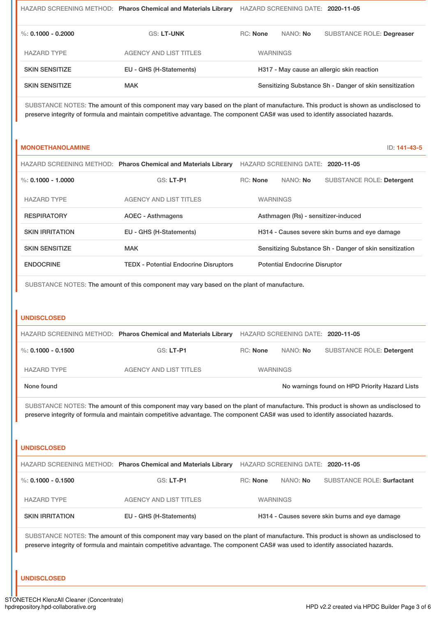|                       | HAZARD SCREENING METHOD: Pharos Chemical and Materials Library |                 |          | HAZARD SCREENING DATE: 2020-11-05                       |
|-----------------------|----------------------------------------------------------------|-----------------|----------|---------------------------------------------------------|
| %: 0.1000 - 0.2000    | <b>GS: LT-UNK</b>                                              | <b>RC:</b> None | NANO: No | <b>SUBSTANCE ROLE: Degreaser</b>                        |
| <b>HAZARD TYPE</b>    | <b>AGENCY AND LIST TITLES</b>                                  | <b>WARNINGS</b> |          |                                                         |
| <b>SKIN SENSITIZE</b> | EU - GHS (H-Statements)                                        |                 |          | H317 - May cause an allergic skin reaction              |
| <b>SKIN SENSITIZE</b> | <b>MAK</b>                                                     |                 |          | Sensitizing Substance Sh - Danger of skin sensitization |

SUBSTANCE NOTES: The amount of this component may vary based on the plant of manufacture. This product is shown as undisclosed to preserve integrity of formula and maintain competitive advantage. The component CAS# was used to identify associated hazards.

## **MONOETHANOLAMINE** ID: **141-43-5**

|                        | HAZARD SCREENING METHOD: Pharos Chemical and Materials Library HAZARD SCREENING DATE: 2020-11-05 |          |          |                           |
|------------------------|--------------------------------------------------------------------------------------------------|----------|----------|---------------------------|
| $\%$ : 0.1000 - 1.0000 | <b>GS: LT-P1</b>                                                                                 | RC: None | NANO: No | SUBSTANCE ROLE: Detergent |

| HAZARD TYPE            | AGENCY AND LIST TITLES                       | <b>WARNINGS</b>                                         |
|------------------------|----------------------------------------------|---------------------------------------------------------|
| <b>RESPIRATORY</b>     | AOEC - Asthmagens                            | Asthmagen (Rs) - sensitizer-induced                     |
| <b>SKIN IRRITATION</b> | EU - GHS (H-Statements)                      | H314 - Causes severe skin burns and eye damage          |
| <b>SKIN SENSITIZE</b>  | <b>MAK</b>                                   | Sensitizing Substance Sh - Danger of skin sensitization |
| <b>ENDOCRINE</b>       | <b>TEDX - Potential Endocrine Disruptors</b> | <b>Potential Endocrine Disruptor</b>                    |

SUBSTANCE NOTES: The amount of this component may vary based on the plant of manufacture.

## **UNDISCLOSED**

|                        | HAZARD SCREENING METHOD: Pharos Chemical and Materials Library |                 | HAZARD SCREENING DATE: 2020-11-05 |                                                |
|------------------------|----------------------------------------------------------------|-----------------|-----------------------------------|------------------------------------------------|
| $\%$ : 0.1000 - 0.1500 | GS: LT-P1                                                      | RC: None        | NANO: No                          | <b>SUBSTANCE ROLE: Detergent</b>               |
| <b>HAZARD TYPE</b>     | <b>AGENCY AND LIST TITLES</b>                                  | <b>WARNINGS</b> |                                   |                                                |
| None found             |                                                                |                 |                                   | No warnings found on HPD Priority Hazard Lists |

SUBSTANCE NOTES: The amount of this component may vary based on the plant of manufacture. This product is shown as undisclosed to preserve integrity of formula and maintain competitive advantage. The component CAS# was used to identify associated hazards.

## **UNDISCLOSED**

|                        | HAZARD SCREENING METHOD: Pharos Chemical and Materials Library |                 |                 | HAZARD SCREENING DATE: 2020-11-05              |
|------------------------|----------------------------------------------------------------|-----------------|-----------------|------------------------------------------------|
| %: 0.1000 - 0.1500     | $GS: LT-P1$                                                    | RC: None        | NANO: <b>No</b> | SUBSTANCE ROLE: Surfactant                     |
| <b>HAZARD TYPE</b>     | AGENCY AND LIST TITLES                                         | <b>WARNINGS</b> |                 |                                                |
| <b>SKIN IRRITATION</b> | EU - GHS (H-Statements)                                        |                 |                 | H314 - Causes severe skin burns and eye damage |

SUBSTANCE NOTES: The amount of this component may vary based on the plant of manufacture. This product is shown as undisclosed to preserve integrity of formula and maintain competitive advantage. The component CAS# was used to identify associated hazards.

## **UNDISCLOSED**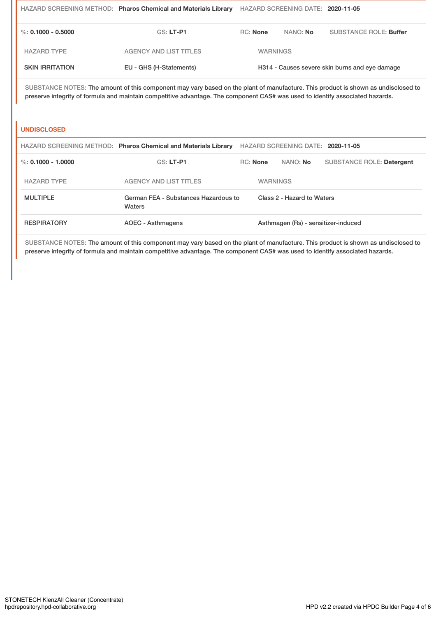|                        | HAZARD SCREENING METHOD: Pharos Chemical and Materials Library                                                                                                                                                                                                     |                 | HAZARD SCREENING DATE: 2020-11-05 |                                                |
|------------------------|--------------------------------------------------------------------------------------------------------------------------------------------------------------------------------------------------------------------------------------------------------------------|-----------------|-----------------------------------|------------------------------------------------|
| %: 0.1000 - 0.5000     | <b>GS: LT-P1</b>                                                                                                                                                                                                                                                   | $RC:$ None      | NANO: No                          | <b>SUBSTANCE ROLE: Buffer</b>                  |
| <b>HAZARD TYPE</b>     | <b>AGENCY AND LIST TITLES</b>                                                                                                                                                                                                                                      | <b>WARNINGS</b> |                                   |                                                |
| <b>SKIN IRRITATION</b> | EU - GHS (H-Statements)                                                                                                                                                                                                                                            |                 |                                   | H314 - Causes severe skin burns and eye damage |
|                        | SUBSTANCE NOTES: The amount of this component may vary based on the plant of manufacture. This product is shown as undisclosed to<br>preserve integrity of formula and maintain competitive advantage. The component CAS# was used to identify associated hazards. |                 |                                   |                                                |
| <b>UNDISCLOSED</b>     |                                                                                                                                                                                                                                                                    |                 |                                   |                                                |
|                        | HAZARD SCREENING METHOD: Pharos Chemical and Materials Library                                                                                                                                                                                                     |                 | HAZARD SCREENING DATE: 2020-11-05 |                                                |

%: **0.1000 - 1.0000** GS: **LT-P1** RC: **None** NANO: **No** SUBSTANCE ROLE: **Detergent**

SUBSTANCE NOTES: The amount of this component may vary based on the plant of manufacture. This product is shown as undisclosed to

preserve integrity of formula and maintain competitive advantage. The component CAS# was used to identify associated hazards.

RESPIRATORY **AOEC - Asthmagens** Asthmagen (Rs) - sensitizer-induced

Class 2 - Hazard to Waters

HAZARD TYPE AGENCY AND LIST TITLES WARNINGS

MULTIPLE German FEA - Substances Hazardous to Waters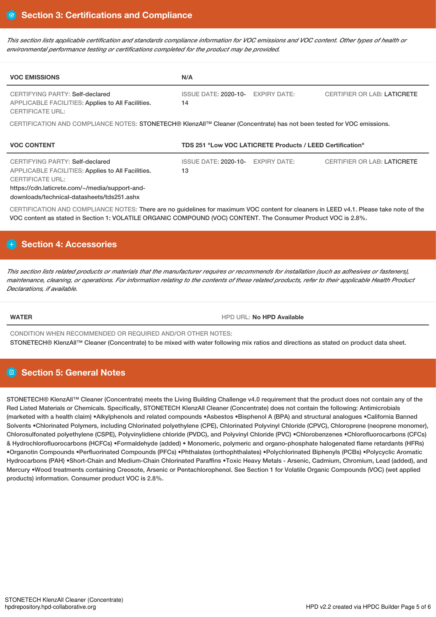This section lists applicable certification and standards compliance information for VOC emissions and VOC content. Other types of health or *environmental performance testing or certifications completed for the product may be provided.*

| <b>VOC EMISSIONS</b>                                                                                                                                                         | N/A                                                                                                                   |  |
|------------------------------------------------------------------------------------------------------------------------------------------------------------------------------|-----------------------------------------------------------------------------------------------------------------------|--|
| CERTIFYING PARTY: Self-declared<br>APPLICABLE FACILITIES: Applies to All Facilities.<br><b>CERTIFICATE URL:</b>                                                              | ISSUE DATE: 2020-10-<br><b>EXPIRY DATE:</b><br><b>CERTIFIER OR LAB: LATICRETE</b><br>14                               |  |
|                                                                                                                                                                              | CERTIFICATION AND COMPLIANCE NOTES: STONETECH® KlenzAll™ Cleaner (Concentrate) has not been tested for VOC emissions. |  |
| <b>VOC CONTENT</b>                                                                                                                                                           | TDS 251 "Low VOC LATICRETE Products / LEED Certification"                                                             |  |
| CERTIFYING PARTY: Self-declared                                                                                                                                              | <b>EXPIRY DATE:</b><br>ISSUE DATE: 2020-10-<br><b>CERTIFIER OR LAB: LATICRETE</b>                                     |  |
| APPLICABLE FACILITIES: Applies to All Facilities.<br><b>CERTIFICATE URL:</b><br>https://cdn.laticrete.com/~/media/support-and-<br>downloads/technical-datasheets/tds251.ashx | 13                                                                                                                    |  |

<code>ENOTES: There</code> are no guidelines for maximum VOC content for cleaners in L VOC content as stated in Section 1: VOLATILE ORGANIC COMPOUND (VOC) CONTENT. The Consumer Product VOC is 2.8%.

# **Section 4: Accessories**

This section lists related products or materials that the manufacturer requires or recommends for installation (such as adhesives or fasteners), maintenance, cleaning, or operations. For information relating to the contents of these related products, refer to their applicable Health Product *Declarations, if available.*

**WATER** HPD URL: **No HPD Available**

CONDITION WHEN RECOMMENDED OR REQUIRED AND/OR OTHER NOTES: STONETECH® KlenzAll™ Cleaner (Concentrate) to be mixed with water following mix ratios and directions as stated on product data sheet.

# **Section 5: General Notes**

STONETECH® KlenzAll<sup>™</sup> Cleaner (Concentrate) meets the Living Building Challenge v4.0 requirement that the product does not contain any of the Red Listed Materials or Chemicals. Specifically, STONETECH KlenzAll Cleaner (Concentrate) does not contain the following: Antimicrobials (marketed with a health claim) •Alkylphenols and related compounds •Asbestos •Bisphenol A (BPA) and structural analogues •California Banned Solvents •Chlorinated Polymers, including Chlorinated polyethylene (CPE), Chlorinated Polyvinyl Chloride (CPVC), Chloroprene (neoprene monomer), Chlorosulfonated polyethylene (CSPE), Polyvinylidiene chloride (PVDC), and Polyvinyl Chloride (PVC) •Chlorobenzenes •Chlorofluorocarbons (CFCs) & Hydrochlorofluorocarbons (HCFCs) •Formaldehyde (added) • Monomeric, polymeric and organo-phosphate halogenated flame retardants (HFRs) •Organotin Compounds •Perfluorinated Compounds (PFCs) •Phthalates (orthophthalates) •Polychlorinated Biphenyls (PCBs) •Polycyclic Aromatic Hydrocarbons (PAH) •Short-Chain and Medium-Chain Chlorinated Paraffins •Toxic Heavy Metals - Arsenic, Cadmium, Chromium, Lead (added), and Mercury •Wood treatments containing Creosote, Arsenic or Pentachlorophenol. See Section 1 for Volatile Organic Compounds (VOC) (wet applied products) information. Consumer product VOC is 2.8%.